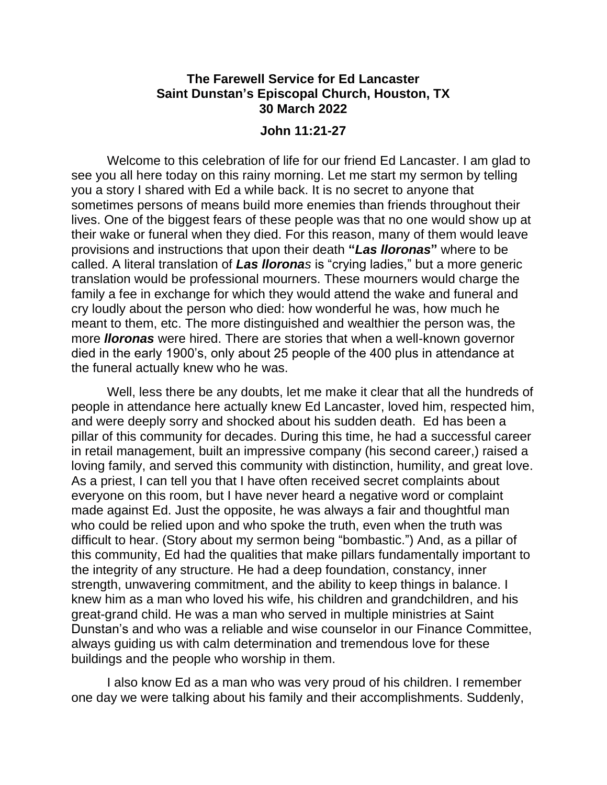## **The Farewell Service for Ed Lancaster Saint Dunstan's Episcopal Church, Houston, TX 30 March 2022**

## **John 11:21-27**

Welcome to this celebration of life for our friend Ed Lancaster. I am glad to see you all here today on this rainy morning. Let me start my sermon by telling you a story I shared with Ed a while back. It is no secret to anyone that sometimes persons of means build more enemies than friends throughout their lives. One of the biggest fears of these people was that no one would show up at their wake or funeral when they died. For this reason, many of them would leave provisions and instructions that upon their death **"***Las lloronas***"** where to be called. A literal translation of *Las lloronas* is "crying ladies," but a more generic translation would be professional mourners. These mourners would charge the family a fee in exchange for which they would attend the wake and funeral and cry loudly about the person who died: how wonderful he was, how much he meant to them, etc. The more distinguished and wealthier the person was, the more *lloronas* were hired. There are stories that when a well-known governor died in the early 1900's, only about 25 people of the 400 plus in attendance at the funeral actually knew who he was.

Well, less there be any doubts, let me make it clear that all the hundreds of people in attendance here actually knew Ed Lancaster, loved him, respected him, and were deeply sorry and shocked about his sudden death. Ed has been a pillar of this community for decades. During this time, he had a successful career in retail management, built an impressive company (his second career,) raised a loving family, and served this community with distinction, humility, and great love. As a priest, I can tell you that I have often received secret complaints about everyone on this room, but I have never heard a negative word or complaint made against Ed. Just the opposite, he was always a fair and thoughtful man who could be relied upon and who spoke the truth, even when the truth was difficult to hear. (Story about my sermon being "bombastic.") And, as a pillar of this community, Ed had the qualities that make pillars fundamentally important to the integrity of any structure. He had a deep foundation, constancy, inner strength, unwavering commitment, and the ability to keep things in balance. I knew him as a man who loved his wife, his children and grandchildren, and his great-grand child. He was a man who served in multiple ministries at Saint Dunstan's and who was a reliable and wise counselor in our Finance Committee, always guiding us with calm determination and tremendous love for these buildings and the people who worship in them.

I also know Ed as a man who was very proud of his children. I remember one day we were talking about his family and their accomplishments. Suddenly,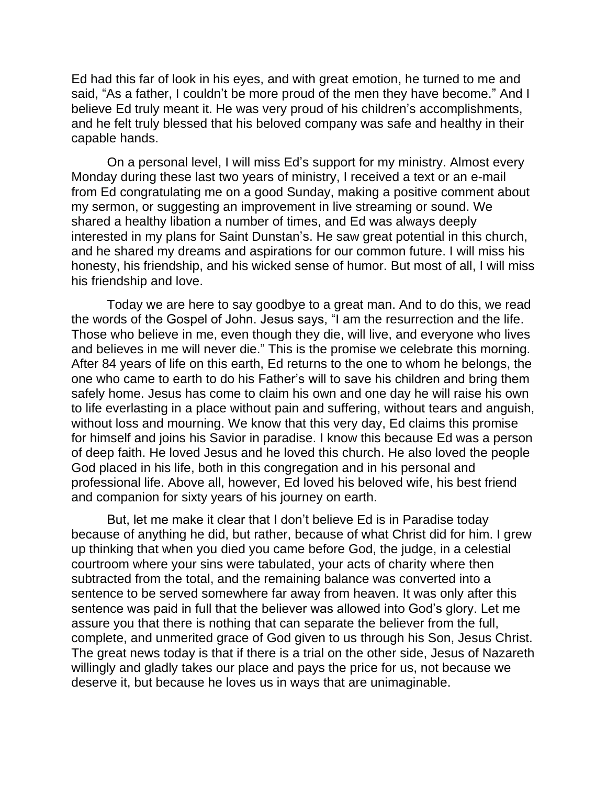Ed had this far of look in his eyes, and with great emotion, he turned to me and said, "As a father, I couldn't be more proud of the men they have become." And I believe Ed truly meant it. He was very proud of his children's accomplishments, and he felt truly blessed that his beloved company was safe and healthy in their capable hands.

On a personal level, I will miss Ed's support for my ministry. Almost every Monday during these last two years of ministry, I received a text or an e-mail from Ed congratulating me on a good Sunday, making a positive comment about my sermon, or suggesting an improvement in live streaming or sound. We shared a healthy libation a number of times, and Ed was always deeply interested in my plans for Saint Dunstan's. He saw great potential in this church, and he shared my dreams and aspirations for our common future. I will miss his honesty, his friendship, and his wicked sense of humor. But most of all, I will miss his friendship and love.

Today we are here to say goodbye to a great man. And to do this, we read the words of the Gospel of John. Jesus says, "I am the resurrection and the life. Those who believe in me, even though they die, will live, and everyone who lives and believes in me will never die." This is the promise we celebrate this morning. After 84 years of life on this earth, Ed returns to the one to whom he belongs, the one who came to earth to do his Father's will to save his children and bring them safely home. Jesus has come to claim his own and one day he will raise his own to life everlasting in a place without pain and suffering, without tears and anguish, without loss and mourning. We know that this very day, Ed claims this promise for himself and joins his Savior in paradise. I know this because Ed was a person of deep faith. He loved Jesus and he loved this church. He also loved the people God placed in his life, both in this congregation and in his personal and professional life. Above all, however, Ed loved his beloved wife, his best friend and companion for sixty years of his journey on earth.

But, let me make it clear that I don't believe Ed is in Paradise today because of anything he did, but rather, because of what Christ did for him. I grew up thinking that when you died you came before God, the judge, in a celestial courtroom where your sins were tabulated, your acts of charity where then subtracted from the total, and the remaining balance was converted into a sentence to be served somewhere far away from heaven. It was only after this sentence was paid in full that the believer was allowed into God's glory. Let me assure you that there is nothing that can separate the believer from the full, complete, and unmerited grace of God given to us through his Son, Jesus Christ. The great news today is that if there is a trial on the other side, Jesus of Nazareth willingly and gladly takes our place and pays the price for us, not because we deserve it, but because he loves us in ways that are unimaginable.